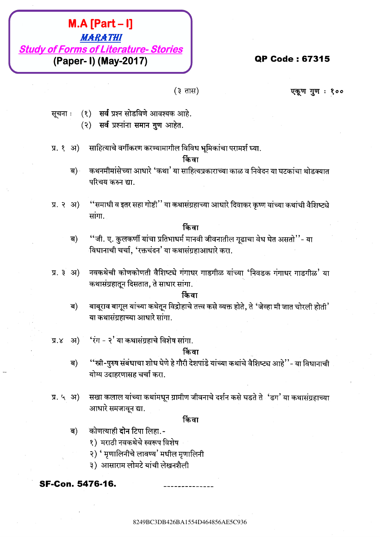# **BAL467FB1**<br> **BAL46759**<br> **BAL467549**<br> **(Paper-1) (May-2017)**<br>
(3) and accide and not are considered in the set of the set of the set of the set of the set of the set of the set of the set of the set of the set of the set **MACTEUR AESTERS**<br>
ABARATEUR<br>
(Paper - 1) (May-2017)<br>
(1) and particular agents<br>
(1) and particular agents<br>
(1) and particular agents<br>
(1) and particular agents<br>
(1) and particular agents<br>
(1) and particular agents<br>
(1) a **M.A. [Part - I)**<br>  $\frac{M\alpha\beta\gamma\alpha\beta\gamma\alpha\beta\gamma\alpha\beta\gamma\alpha\beta\gamma\alpha\beta\gamma\alpha\beta\gamma\alpha\beta\gamma\alpha\beta\gamma\alpha\beta\gamma\alpha\beta\gamma\alpha\beta\gamma\alpha\beta\gamma\alpha\beta\gamma\alpha\beta\gamma\alpha\beta\gamma\alpha\beta\gamma\alpha\beta\gamma\alpha\beta\gamma\alpha\beta\gamma\alpha\beta\gamma\alpha\beta\gamma\alpha\beta\gamma\alpha\beta\gamma\alpha\beta\gamma\alpha\beta\gamma\alpha\beta\gamma\alpha\beta\gamma\alpha\beta\gamma\alpha\beta\gamma\alpha\beta\gamma\alpha\beta\gamma\alpha\beta\$ **M.A. [Part - I]**<br>
Study of Forms of Literature-Stories<br>
(Paper - ) (May-2017)<br>
(3) and particular action and interest and<br>
(3) and particular action and interest and interest and interest and interest<br>  $\pi$ , a) and contr **8A.A [Part - I]**<br> **Study of Forms of Literature-Stories**<br> **CFORE 10 (New 2017)**<br>
(2 TH) (New 2017)<br>
(2 TH) (2 TH) (2 TH) (2 TH) (2 TH) (2 TH) (2 TH) (2 TH) (2 TH) (2 TH) (2 TH) (2 TH) (2 TH) (2 TH) (2 TH) (2 TH) (3 TH) ( 8249BC3DB426BA1554D464856AE5C9368249BC3DB426BA1554D464856AE5C9368249BC3DB426BA1554D464856AE5C9368249BC3DB426BA1554D464856AE5C9368249BC3DB426BA1554D464856AE5C9368249BC3DB426BA1554D464856AE5C936 **826426 Bart - B1**<br> **8249476 E20133 64 College Stories**<br> **CP Code : 67315<br>
(Paper - 1) (May-2017)**<br>
(3) will are utilized after some paper.<br>
(3) will are utilized after some paper.<br>
3) will are utilized after some paper.<br> **82449 conte content - D**<br> **Study of Forms of Literature - Stories**<br>
(Paper - D) (May-2017)<br>
(3 44)<br>
<br>
13 47 action deriver and the state of the state of the state of the state of the state of the state of the state of th **82449 conte content - D**<br> **Study of Forms of Literature - Stories**<br>
(Paper - D) (May-2017)<br>
(3 44)<br>
<br>
13 47 action deriver and the state of the state of the state of the state of the state of the state of the state of th **82449 conte content - D**<br> **Study of Forms of Literature - Stories**<br>
(Paper - D) (May-2017)<br>
(3 44)<br>
<br>
13 47 action deriver and the state of the state of the state of the state of the state of the state of the state of th **82449 conte content - D**<br> **Study of Forms of Literature - Stories**<br>
(Paper - D) (May-2017)<br>
(3 44)<br>
<br>
13 47 action deriver and the state of the state of the state of the state of the state of the state of the state of th **82449 C3 445487474**<br> **82449 of Forms of Literations-2017)**<br> **(3.344)**<br> **(4.344)**<br> **(4.344)**<br> **(4.344)**<br> **(4.344)**<br> **(4.344)**<br> **(4.344)**<br> **(4.344)**<br> **(4.344)**<br> **(4.344)**<br> **(4.344)**<br> **(4.344)**<br> **(4.344)**<br> **(4.344)**<br> **(4.34** 8249BC3DB426BA1554D464856AE5C9368249BC3DB426BA1554D464856AE5C9368249BC3DB426BA1554D464856AE5C9368249BC3DB426BA1554D464856AE5C9368249BC3DB426BA1554D464856AE5C9368249BC3DB426BA1554D464856AE5C936 **82449 CF 3464852414**<br> **824494 of Forms of May-2017**<br> **CF 34648564**<br> **CF 34649-2017**<br> **CF 34649-2017**<br> **CF 34649-2017**<br> **CF 34649-2017**<br> **CF 34649-2017**<br> **CF 34649-2017**<br> **CF 34649-2017**<br> **CF 34649-4849-2017**<br> **CF 34649-4 824926 AE6487814**<br> **824494 of Forms of Liberature-Stories**<br> **(Paper-1) (May-2017)**<br> **2241:** (2) and are addebt supera column column<br>
(3) and are addebt supera column column column column column column<br>
22.4.31) uniforms **82449 (Part - I)**<br> **824494768**<br> **82494464764864647688**<br> **82494646 (Paper- 1) (May-2017)**<br> **12474** (2) with an example are are:<br>
2) of any interference are:<br>
2) of any interference are:<br>
2) of any interference are:<br>
2) in 8249BC3DB426BA1554D464856AE5C9368249BC3DB426BA1554D464856AE5C9368249BC3DB426BA1554D464856AE5C9368249BC3DB426BA1554D464856AE5C9368249BC3DB426BA1554D464856AE5C9368249BC3DB426BA1554D464856AE5C936 8249BC3DB426BA1554D464856AE5C9368249BC3DB426BA1554D464856AE5C9368249BC3DB426BA1554D464856AE5C9368249BC3DB426BA1554D464856AE5C9368249BC3DB426BA1554D464856AE5C9368249BC3DB426BA1554D464856AE5C936 8249BC3DB426BA1554D464856AE5C9368249BC3DB426BA1554D464856AE5C9368249BC3DB426BA1554D464856AE5C9368249BC3DB426BA1554D464856AE5C9368249BC3DB426BA1554D464856AE5C9368249BC3DB426BA1554D464856AE5C936 **824494 BC3D4648542799**<br>
824494 of Forms of Literature-Stories<br>
(Paper- 1) (May-2017)<br>
(3) The stretch and state with the street and state<br>
(3) The stretch and state with the street and street and stretch and stretch and

- -
- 

- 
- 

- 
- 

- 
- 

- 
- 

- -
	-
	-

8249BC3DB426BA1554D464856AE5C936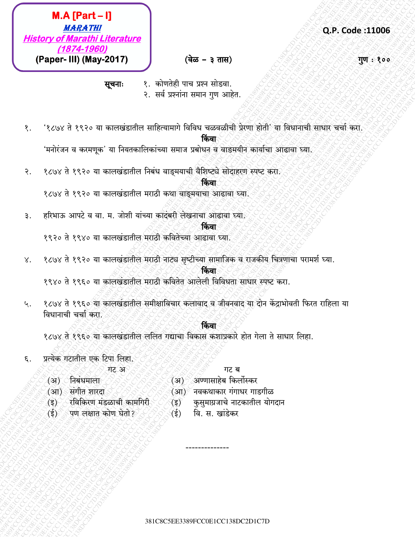$M.A [Part - 1]$ **MARATHI History of Marathi Literature** (1874-1960) (Paper- III) (May-2017)

### Q.P. Code:11006

गुण : १००

सूचनाः

- १. कोणतेही पाच प्रश्न सोडवा. २. सर्व प्रश्नांना समान गुण आहेत.
- '१८७४ ते १९२० या कालखंडातील साहित्यामागे विविध चळवळीची प्रेरणा होती' या विधानाची साधार चर्चा करा. १.

### किंवा

(वेळ – ३ तास)

'मनोरंजन व करमणुक' या नियतकालिकांच्या समाज प्रबोधन व वाङमयीन कार्याचा आढावा घ्या.

१८७४ ते १९२० या कालखंडातील निबंध वाङ्मयाची वैशिष्ट्ये सोदाहरण स्पष्ट करा. २.

### किंवा

१८७४ ते १९२० या कालखंडातील मराठी कथा वाङ्मयाचा आढावा घ्या.

हरिभाऊ आपटे व वा. म. जोशी यांच्या कादंबरी लेखनाचा आढावा घ्या. ₹.

### किंवा

१९२० ते १९४० या कालखंडातील मराठी कवितेच्या आढावा घ्या.

१८७४ ते १९२० या कालखंडातील मराठी नाट्य सृष्टीच्या सामाजिक व राजकीय चित्रणाचा परामर्श घ्या. X.

### किंवा

१९४० ते १९६० या कालखंडातील मराठी कवितेत आलेली विविधता साधार स्पष्ट करा.

१८७४ ते १९६० या कालखंडातील समीक्षाविचार कलावाद व जीवनवाद या दोन केंद्राभोवती फिरत राहिला या ५. विधानाची चर्चा करा.

## किंवा

१८७४ ते १९६० या कालखंडातील ललित गद्याचा विकास कशाप्रकारे होत गेला ते साधार लिहा.

प्रत्येक गटातील एक टिपा लिहा. ξ.

मट अ

गट ब

- (अ) निबंधमाला
- (आ) संगीत शारदा
- (अ) अण्णासाहेब किर्लोस्कर (आ) ँ नवकथाकार गंगाधर गाडगीळ
- 
- कुसुमाग्रजाचे नाटकातील योगदान  $($ इ $)$
- वि. स. खांडेकर  $\mathcal{L}(\xi)$
- $\mathcal{L}(\mathbf{\vec{5}})$ रविकिरण मंडळाची कामगिरी
- $\langle \xi \rangle$ पण लक्षात कोण घेतो ?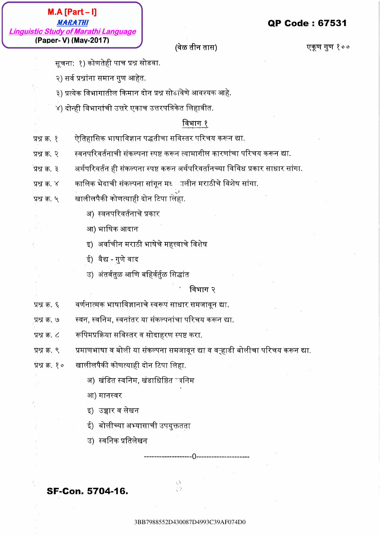3BB*898887993*<br>
3BB798857201930187D44087D49<br>
3PB7987830409707408720<br>
3PB798878867070487209<br>
3P87887886707048707493C39AF074D493572D430087D49<br>
3P87887887048497887878878798878704870720487207420<br>
3P878855678885578878878878788 3BB7988552D430087D4993C39AF074D03BB7988552D430087D4993C39AF074D03BB7988552D430087D4993C39AF074D03BB7988552D430087D4993C39AF074D03BB7988552D430087D4993C39AF074D03BB7988552D430087D4993C39AF074D0 3BB79749<br>
3BB7978872087087087087D43098930<br>
3BB797887087D498709703<br>
3PB7887887887087087D430087D430087D4983572D430087D499352D430087D499353<br>
3PB7887887887988788572D4300870870872D430087D49312008708708730087<br>
3PB78. 3PB7888670 **3B**B798852D49<br> **BB7988520**<br> **BB879987887008720779**<br> **CONSULS CONSULS CONSULS CONSULS CONSULS CONSULS CONSULS CONSULS CONSULS CONSULS CONSULS CONSULS CONSULS CONSULS CONSULS CONSULS CONSULS CONSULS CONSULS CONSULS CONSULS** 3BB7988552D430087D4993C39AF074D03BB7988552D430087D4993C39AF074D03BB7988552D430087D4993C39AF074D03BB7988552D430087D4993C39AF074D03BB7988552D430087D4993C39AF074D03BB7988552D430087D4993C39AF074D0 **ABB7987120872093**<br> **ABB79878574008701103870110387011038701103870110387301103845411039467110387411038411038411038411038411038411038411038411038411038411038411038411038411038411038411038411038411038411038411038411038411038** 3BB7988552D430087D4993C39AF074D03BB7988552D430087D4993C39AF074D03BB7988552D430087D4993C39AF074D03BB7988552D430087D4993C39AF074D03BB7988552D430087D4993C39AF074D03BB7988552D430087D4993C39AF074D0 3BB7988552D430087D4993C39AF074D03BB7988552D430087D4993C39AF074D03BB7988552D430087D4993C39AF074D03BB7988552D430087D4993C39AF074D03BB7988552D430087D4993C39AF074D03BB7988552D430087D4993C39AF074D0 3BB7988552D430087D4993C39AF074D03BB7988552D430087D4993C39AF074D03BB7988552D430087D4993C39AF074D03BB7988552D430087D4993C39AF074D03BB7988552D430087D4993C39AF074D03BB7988552D430087D4993C39AF074D0 **3BB7988789**<br>
2BB79885789<br> **CONSECTED TO CONSECT AFTER CONSECTIVE CONSECT ACTIVE CONSECT AFTER CONSECT AFTER CONSECT AFTER CONSECT AFTER CONSECT AFTER CONSECT AFTER CONSECT AFTER CONSECT AFTER CONSECT AFTER CONSECT AFTER** 3BB7988552D430087D4993C39AF074D03BB7988552D430087D4993C39AF074D03BB7988552D430087D4993C39AF074D03BB7988552D430087D4993C39AF074D03BB7988552D430087D4993C39AF074D03BB7988552D430087D4993C39AF074D0 **3BB79981-11**<br>  $\frac{MSB88787}{(39898799 \times 10^{10} \text{m} \cdot \text{s}^2 \cdot \text{m}^2 \cdot \text{m}^2 \cdot \text{m}^2 \cdot \text{m}^2 \cdot \text{m}^2 \cdot \text{m}^2 \cdot \text{m}^2 \cdot \text{m}^2 \cdot \text{m}^2 \cdot \text{m}^2 \cdot \text{m}^2 \cdot \text{m}^2 \cdot \text{m}^2 \cdot \text{m}^2 \cdot \text{m}^2 \cdot \text{m}^2 \cdot \text{m}^2 \cdot \text{m}^2 \$ 3BB7988552D430087D4993C39AF074D03BB7988552D430087D4993C39AF074D03BB7988552D430087D4993C39AF074D03BB7988552D430087D4993C39AF074D03BB7988552D430087D4993C39AF074D03BB7988552D430087D4993C39AF074D0 3BB7988552D430087D4993C39AF074D03BB7988552D430087D4993C39AF074D03BB7988552D430087D4993C39AF074D03BB7988552D430087D4993C39AF074D03BB7988552D430087D4993C39AF074D03BB7988552D430087D4993C39AF074D0 **Linguistic Broad Conterior Conterior Conterior Conterior Conterior Conterior Conterior Conterior Conterior Conterior Conterior Conterior Conterior Conterior Conterior Conterior Conterior Conterior Conterior Conterior Con** 3BB7988552D430087D4993C39AF074D03BB7988552D430087D4993C39AF074D03BB7988552D430087D4993C39AF074D03BB7988552D430087D4993C39AF074D03BB7988552D430087D4993C39AF074D03BB7988552D430087D4993C39AF074D0  $\begin{array}{|l|l|} \hline \textbf{M.A} \textsf{Part}=0 \\\hline \textbf{(Paoe)} \textsf{BMO} \textsf{M1} \textsf{d1} \textsf{d2} \textsf{d3} \textsf{d3} \textsf{d3} \textsf{d4} \textsf{d5} \textsf{d5} \textsf{d5} \textsf{d6} \textsf{d7}} \hline \textbf{(Paoe)} \textsf{W1} \textsf{d1} \textsf{d3} \textsf{d5} \textsf{d6} \textsf{d7}} \hline \textbf{(Paoe)} \textsf{W2} \textsf{d1} \textsf{d3} \textsf$ 3BB7988552D430087D4993C39AF074D03BB7988552D430087D4993C39AF074D03BB7988552D430087D4993C39AF074D03BB7988552D430087D4993C39AF074D03BB7988552D430087D4993C39AF074D03BB7988552D430087D4993C39AF074D0

- 
- 
- 
- 

- 
- 
- 
- 
- -
	-
	-
	-
	-

- 
- 
- 
- 3 Bbcy of Manual Americans of Archives and Control of Archives and Control of Archives and Control of Archives and Control of Archives and Control of Archives and Control of Archives and Control of Archives and Control of 38 Same of the angular stranges of the stranges of the stranges of the stranges of the stranges of the stranges of the stranges of the stranges of the stranges of the stranges of the stranges of the stranges of the strang
- -
	-
	-
	-
	-